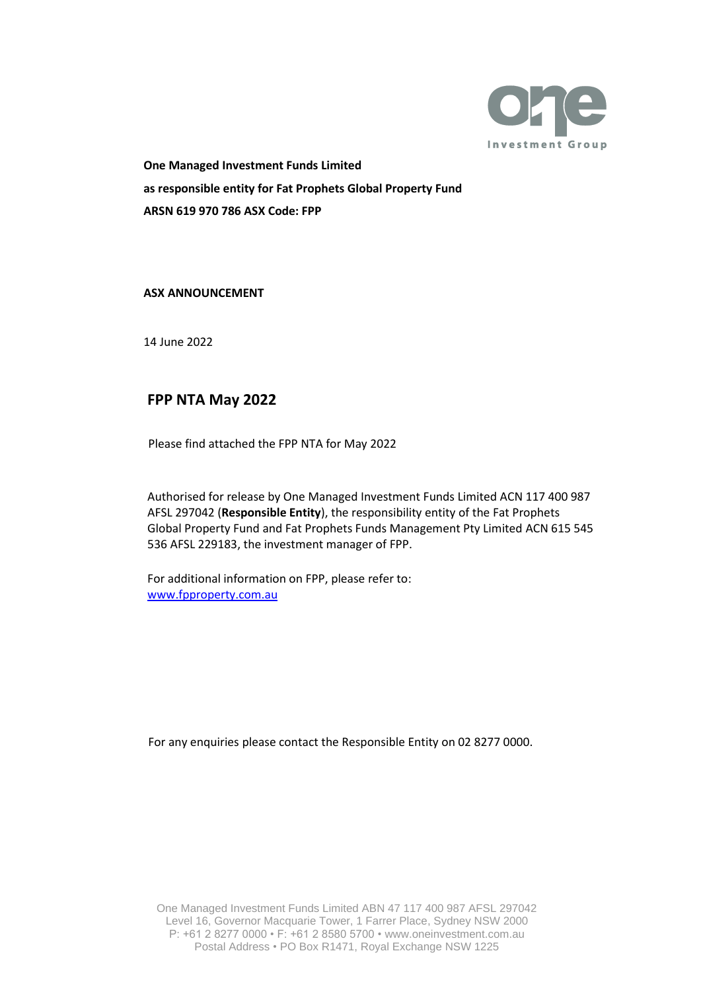

**One Managed Investment Funds Limited as responsible entity for Fat Prophets Global Property Fund ARSN 619 970 786 ASX Code: FPP**

#### **ASX ANNOUNCEMENT**

14 June 2022

# **[FPP NTA M](https://www.asx.com.au/asx/statistics/displayAnnouncement.do?display=pdf&idsId=02168889)ay 2022**

Please find attached the FPP NTA for May 2022

Authorised for release by One Managed Investment Funds Limited ACN 117 400 987 AFSL 297042 (**Responsible Entity**), the responsibility entity of the Fat Prophets Global Property Fund and Fat Prophets Funds Management Pty Limited ACN 615 545 536 AFSL 229183, the investment manager of FPP.

For additional information on FPP, please refer to: [www.fpproperty.com.au](http://www.fpproperty.com.au/)

For any enquiries please contact the Responsible Entity on 02 8277 0000.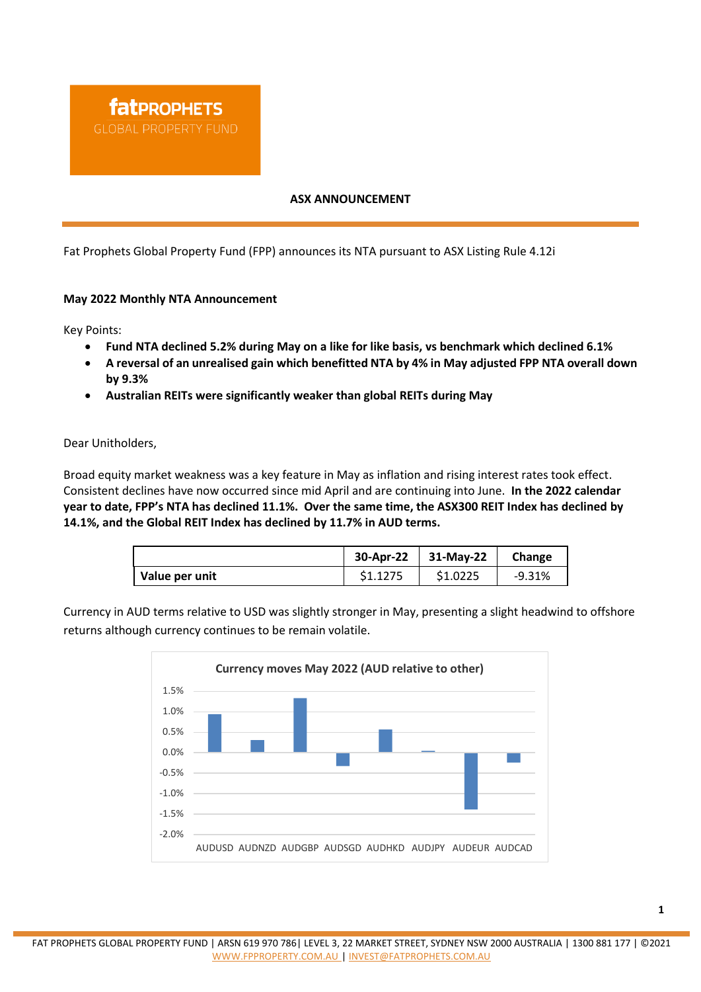#### **ASX ANNOUNCEMENT**

Fat Prophets Global Property Fund (FPP) announces its NTA pursuant to ASX Listing Rule 4.12i

#### **May 2022 Monthly NTA Announcement**

Key Points:

- **Fund NTA declined 5.2% during May on a like for like basis, vs benchmark which declined 6.1%**
- **A reversal of an unrealised gain which benefitted NTA by 4% in May adjusted FPP NTA overall down by 9.3%**
- **Australian REITs were significantly weaker than global REITs during May**

Dear Unitholders,

Broad equity market weakness was a key feature in May as inflation and rising interest rates took effect. Consistent declines have now occurred since mid April and are continuing into June. **In the 2022 calendar year to date, FPP's NTA has declined 11.1%. Over the same time, the ASX300 REIT Index has declined by 14.1%, and the Global REIT Index has declined by 11.7% in AUD terms.**

|                | 30-Apr-22 | 31-May-22 | Change   |
|----------------|-----------|-----------|----------|
| Value per unit | \$1.1275  | \$1.0225  | $-9.31%$ |

Currency in AUD terms relative to USD was slightly stronger in May, presenting a slight headwind to offshore returns although currency continues to be remain volatile.

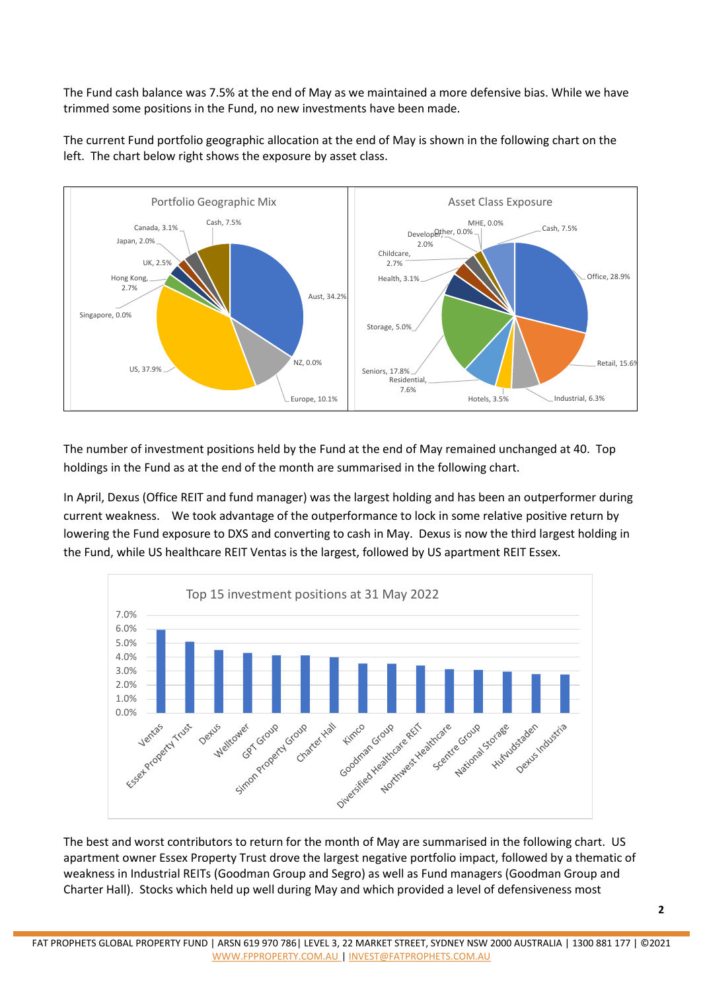The Fund cash balance was 7.5% at the end of May as we maintained a more defensive bias. While we have trimmed some positions in the Fund, no new investments have been made.



The current Fund portfolio geographic allocation at the end of May is shown in the following chart on the left. The chart below right shows the exposure by asset class.

The number of investment positions held by the Fund at the end of May remained unchanged at 40. Top holdings in the Fund as at the end of the month are summarised in the following chart.

In April, Dexus (Office REIT and fund manager) was the largest holding and has been an outperformer during current weakness. We took advantage of the outperformance to lock in some relative positive return by lowering the Fund exposure to DXS and converting to cash in May. Dexus is now the third largest holding in the Fund, while US healthcare REIT Ventas is the largest, followed by US apartment REIT Essex.



The best and worst contributors to return for the month of May are summarised in the following chart. US apartment owner Essex Property Trust drove the largest negative portfolio impact, followed by a thematic of weakness in Industrial REITs (Goodman Group and Segro) as well as Fund managers (Goodman Group and Charter Hall). Stocks which held up well during May and which provided a level of defensiveness most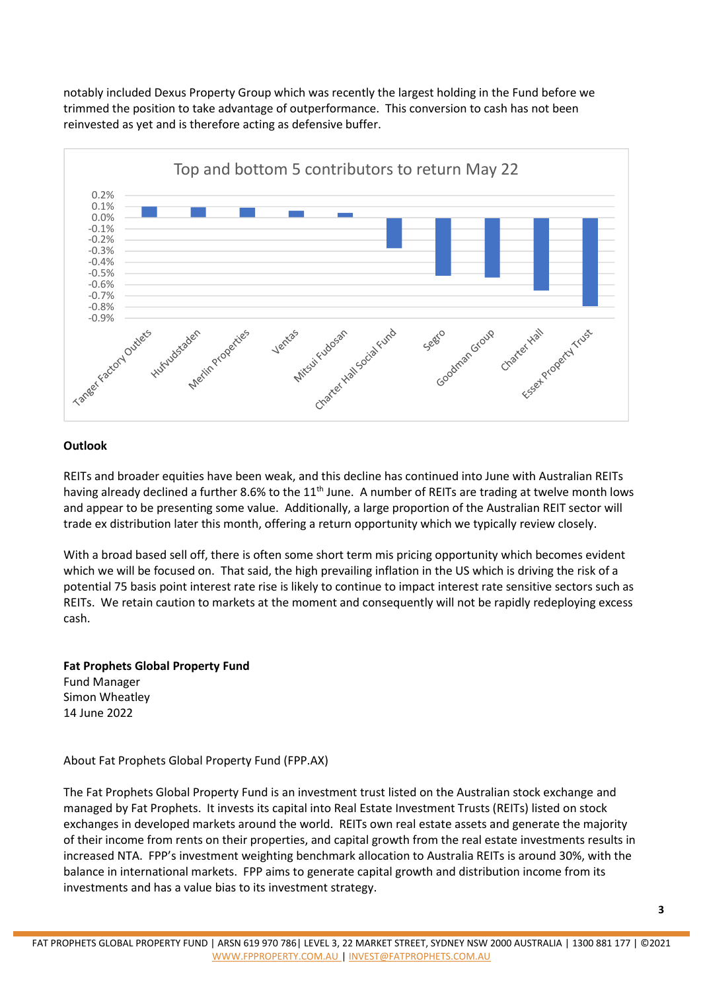notably included Dexus Property Group which was recently the largest holding in the Fund before we trimmed the position to take advantage of outperformance. This conversion to cash has not been reinvested as yet and is therefore acting as defensive buffer.



## **Outlook**

REITs and broader equities have been weak, and this decline has continued into June with Australian REITs having already declined a further 8.6% to the 11<sup>th</sup> June. A number of REITs are trading at twelve month lows and appear to be presenting some value. Additionally, a large proportion of the Australian REIT sector will trade ex distribution later this month, offering a return opportunity which we typically review closely.

With a broad based sell off, there is often some short term mis pricing opportunity which becomes evident which we will be focused on. That said, the high prevailing inflation in the US which is driving the risk of a potential 75 basis point interest rate rise is likely to continue to impact interest rate sensitive sectors such as REITs. We retain caution to markets at the moment and consequently will not be rapidly redeploying excess cash.

### **Fat Prophets Global Property Fund**

Fund Manager Simon Wheatley 14 June 2022

About Fat Prophets Global Property Fund (FPP.AX)

The Fat Prophets Global Property Fund is an investment trust listed on the Australian stock exchange and managed by Fat Prophets. It invests its capital into Real Estate Investment Trusts (REITs) listed on stock exchanges in developed markets around the world. REITs own real estate assets and generate the majority of their income from rents on their properties, and capital growth from the real estate investments results in increased NTA. FPP's investment weighting benchmark allocation to Australia REITs is around 30%, with the balance in international markets. FPP aims to generate capital growth and distribution income from its investments and has a value bias to its investment strategy.